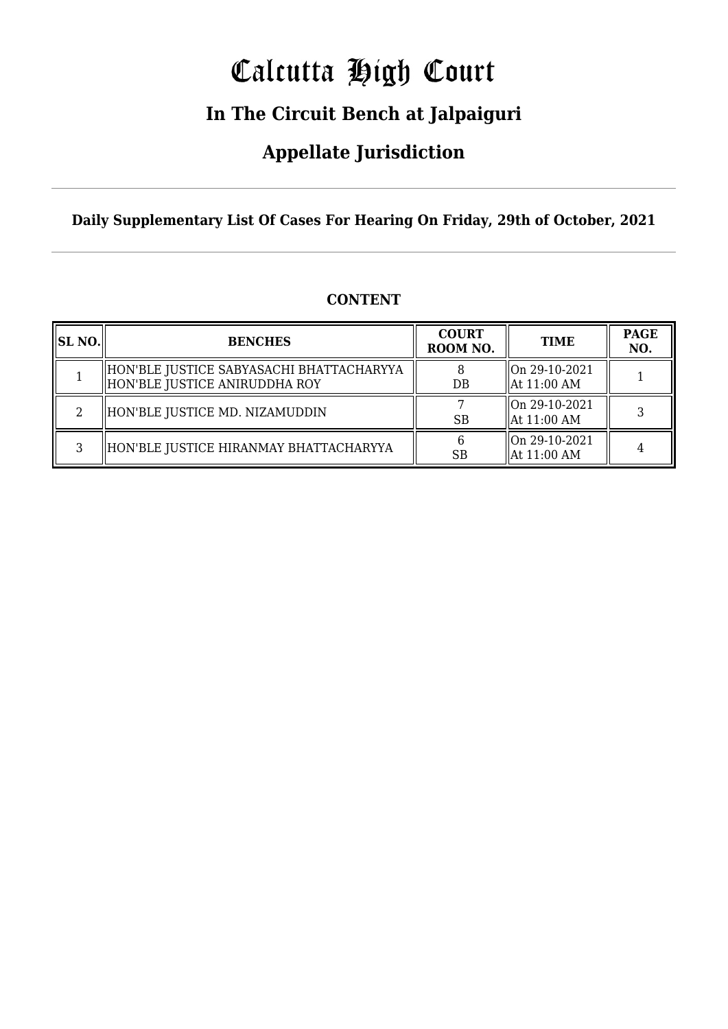# Calcutta High Court

### **In The Circuit Bench at Jalpaiguri**

### **Appellate Jurisdiction**

**Daily Supplementary List Of Cases For Hearing On Friday, 29th of October, 2021**

| SL NO. | <b>BENCHES</b>                                                            | <b>COURT</b><br>ROOM NO. | <b>TIME</b>                              | <b>PAGE</b><br>NO. |
|--------|---------------------------------------------------------------------------|--------------------------|------------------------------------------|--------------------|
|        | HON'BLE JUSTICE SABYASACHI BHATTACHARYYA<br>HON'BLE JUSTICE ANIRUDDHA ROY | $DB$                     | On 29-10-2021<br>  At 11:00 AM           |                    |
|        | HON'BLE JUSTICE MD. NIZAMUDDIN                                            | <b>SB</b>                | On 29-10-2021<br>$\parallel$ At 11:00 AM |                    |
| З      | HON'BLE JUSTICE HIRANMAY BHATTACHARYYA                                    | <b>SB</b>                | On 29-10-2021<br>  At 11:00 AM           |                    |

#### **CONTENT**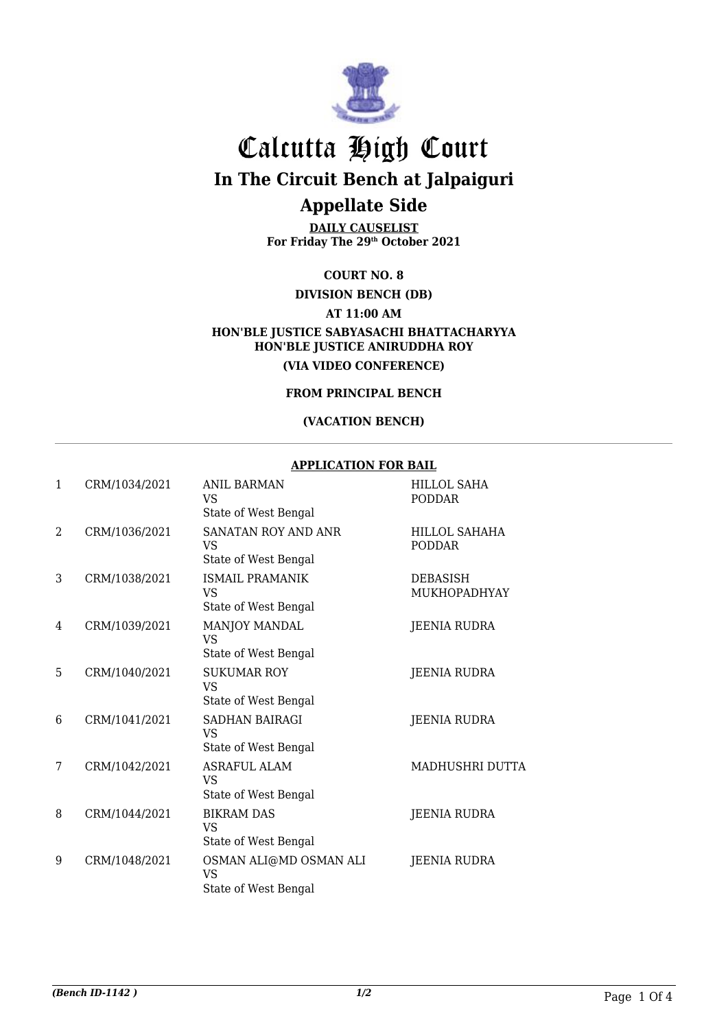

## Calcutta High Court

**In The Circuit Bench at Jalpaiguri**

#### **Appellate Side**

**DAILY CAUSELIST For Friday The 29th October 2021**

**COURT NO. 8**

**DIVISION BENCH (DB)**

**AT 11:00 AM**

**HON'BLE JUSTICE SABYASACHI BHATTACHARYYA HON'BLE JUSTICE ANIRUDDHA ROY (VIA VIDEO CONFERENCE)**

**FROM PRINCIPAL BENCH**

#### **(VACATION BENCH)**

#### **APPLICATION FOR BAIL**

| $\mathbf{1}$  | CRM/1034/2021 | <b>ANIL BARMAN</b><br>VS.<br>State of West Bengal           | <b>HILLOL SAHA</b><br><b>PODDAR</b> |
|---------------|---------------|-------------------------------------------------------------|-------------------------------------|
| $\mathcal{D}$ | CRM/1036/2021 | SANATAN ROY AND ANR<br><b>VS</b><br>State of West Bengal    | HILLOL SAHAHA<br><b>PODDAR</b>      |
| 3             | CRM/1038/2021 | <b>ISMAIL PRAMANIK</b><br><b>VS</b><br>State of West Bengal | <b>DEBASISH</b><br>MUKHOPADHYAY     |
| 4             | CRM/1039/2021 | <b>MANJOY MANDAL</b><br>VS.<br>State of West Bengal         | JEENIA RUDRA                        |
| 5             | CRM/1040/2021 | <b>SUKUMAR ROY</b><br>VS.<br>State of West Bengal           | <b>JEENIA RUDRA</b>                 |
| 6             | CRM/1041/2021 | <b>SADHAN BAIRAGI</b><br>VS.<br>State of West Bengal        | <b>JEENIA RUDRA</b>                 |
| 7             | CRM/1042/2021 | <b>ASRAFUL ALAM</b><br>VS.<br>State of West Bengal          | MADHUSHRI DUTTA                     |
| 8             | CRM/1044/2021 | <b>BIKRAM DAS</b><br><b>VS</b><br>State of West Bengal      | JEENIA RUDRA                        |
| 9             | CRM/1048/2021 | OSMAN ALI@MD OSMAN ALI<br>VS<br>State of West Bengal        | JEENIA RUDRA                        |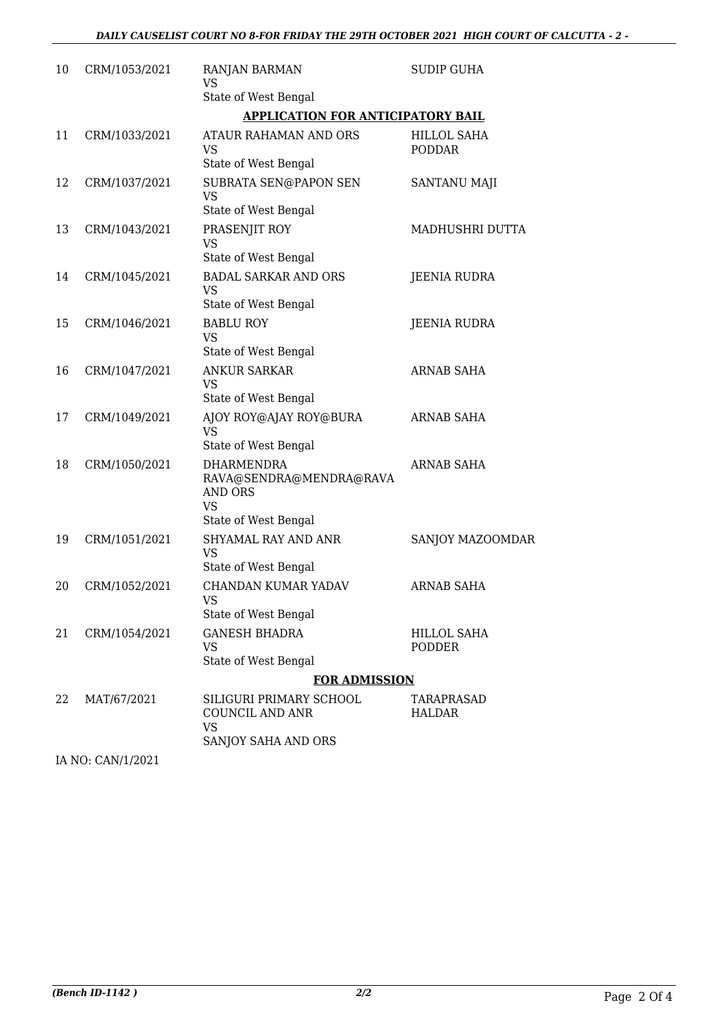| 10 | CRM/1053/2021     | <b>RANJAN BARMAN</b><br>VS                                                                          | SUDIP GUHA                          |  |  |
|----|-------------------|-----------------------------------------------------------------------------------------------------|-------------------------------------|--|--|
|    |                   | State of West Bengal                                                                                |                                     |  |  |
|    |                   | <b>APPLICATION FOR ANTICIPATORY BAIL</b>                                                            |                                     |  |  |
| 11 | CRM/1033/2021     | ATAUR RAHAMAN AND ORS<br><b>VS</b><br>State of West Bengal                                          | HILLOL SAHA<br><b>PODDAR</b>        |  |  |
| 12 | CRM/1037/2021     | SUBRATA SEN@PAPON SEN<br><b>VS</b><br>State of West Bengal                                          | <b>SANTANU MAJI</b>                 |  |  |
| 13 | CRM/1043/2021     | PRASENJIT ROY<br><b>VS</b><br>State of West Bengal                                                  | MADHUSHRI DUTTA                     |  |  |
| 14 | CRM/1045/2021     | <b>BADAL SARKAR AND ORS</b><br><b>VS</b><br>State of West Bengal                                    | <b>JEENIA RUDRA</b>                 |  |  |
| 15 | CRM/1046/2021     | <b>BABLU ROY</b><br><b>VS</b><br>State of West Bengal                                               | <b>JEENIA RUDRA</b>                 |  |  |
| 16 | CRM/1047/2021     | <b>ANKUR SARKAR</b><br><b>VS</b><br>State of West Bengal                                            | <b>ARNAB SAHA</b>                   |  |  |
| 17 | CRM/1049/2021     | AJOY ROY@AJAY ROY@BURA<br><b>VS</b><br>State of West Bengal                                         | ARNAB SAHA                          |  |  |
| 18 | CRM/1050/2021     | <b>DHARMENDRA</b><br>RAVA@SENDRA@MENDRA@RAVA<br><b>AND ORS</b><br><b>VS</b><br>State of West Bengal | <b>ARNAB SAHA</b>                   |  |  |
| 19 | CRM/1051/2021     | <b>SHYAMAL RAY AND ANR</b><br><b>VS</b><br>State of West Bengal                                     | SANJOY MAZOOMDAR                    |  |  |
| 20 | CRM/1052/2021     | CHANDAN KUMAR YADAV<br>VS<br>State of West Bengal                                                   | <b>ARNAB SAHA</b>                   |  |  |
| 21 | CRM/1054/2021     | <b>GANESH BHADRA</b><br><b>VS</b><br>State of West Bengal                                           | <b>HILLOL SAHA</b><br><b>PODDER</b> |  |  |
|    |                   | <b>FOR ADMISSION</b>                                                                                |                                     |  |  |
| 22 | MAT/67/2021       | SILIGURI PRIMARY SCHOOL<br>COUNCIL AND ANR<br><b>VS</b>                                             | TARAPRASAD<br><b>HALDAR</b>         |  |  |
|    | IA NO: CAN/1/2021 | SANJOY SAHA AND ORS                                                                                 |                                     |  |  |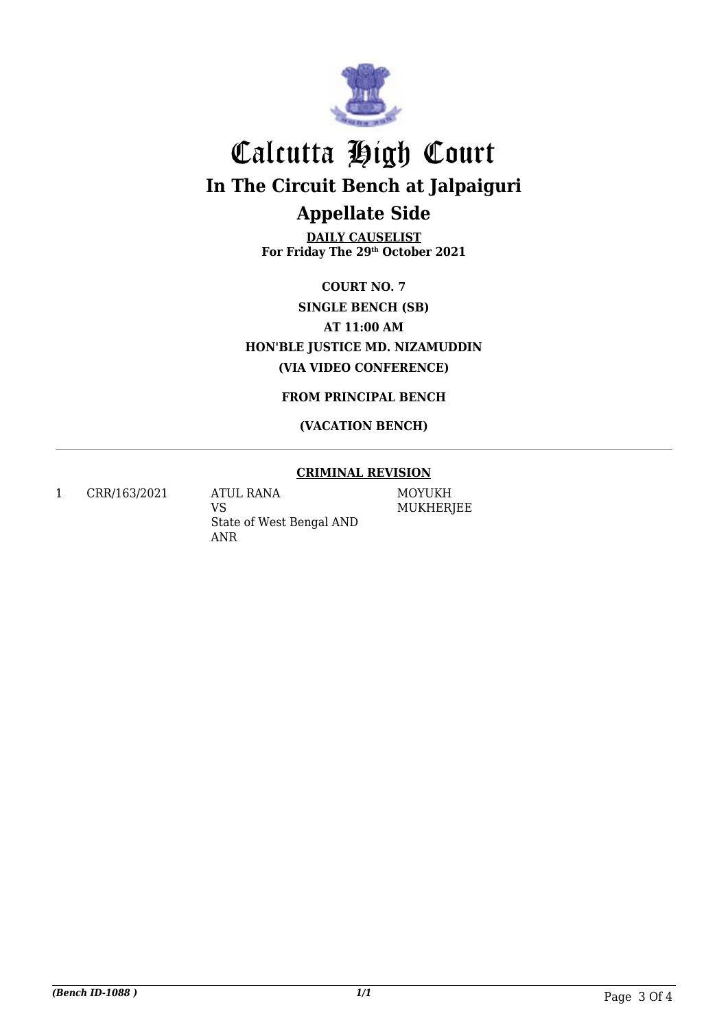

## Calcutta High Court **In The Circuit Bench at Jalpaiguri Appellate Side**

**DAILY CAUSELIST For Friday The 29th October 2021**

**COURT NO. 7 SINGLE BENCH (SB) AT 11:00 AM HON'BLE JUSTICE MD. NIZAMUDDIN (VIA VIDEO CONFERENCE)**

**FROM PRINCIPAL BENCH**

#### **(VACATION BENCH)**

#### **CRIMINAL REVISION**

1 CRR/163/2021 ATUL RANA

VS State of West Bengal AND ANR

MOYUKH MUKHERJEE